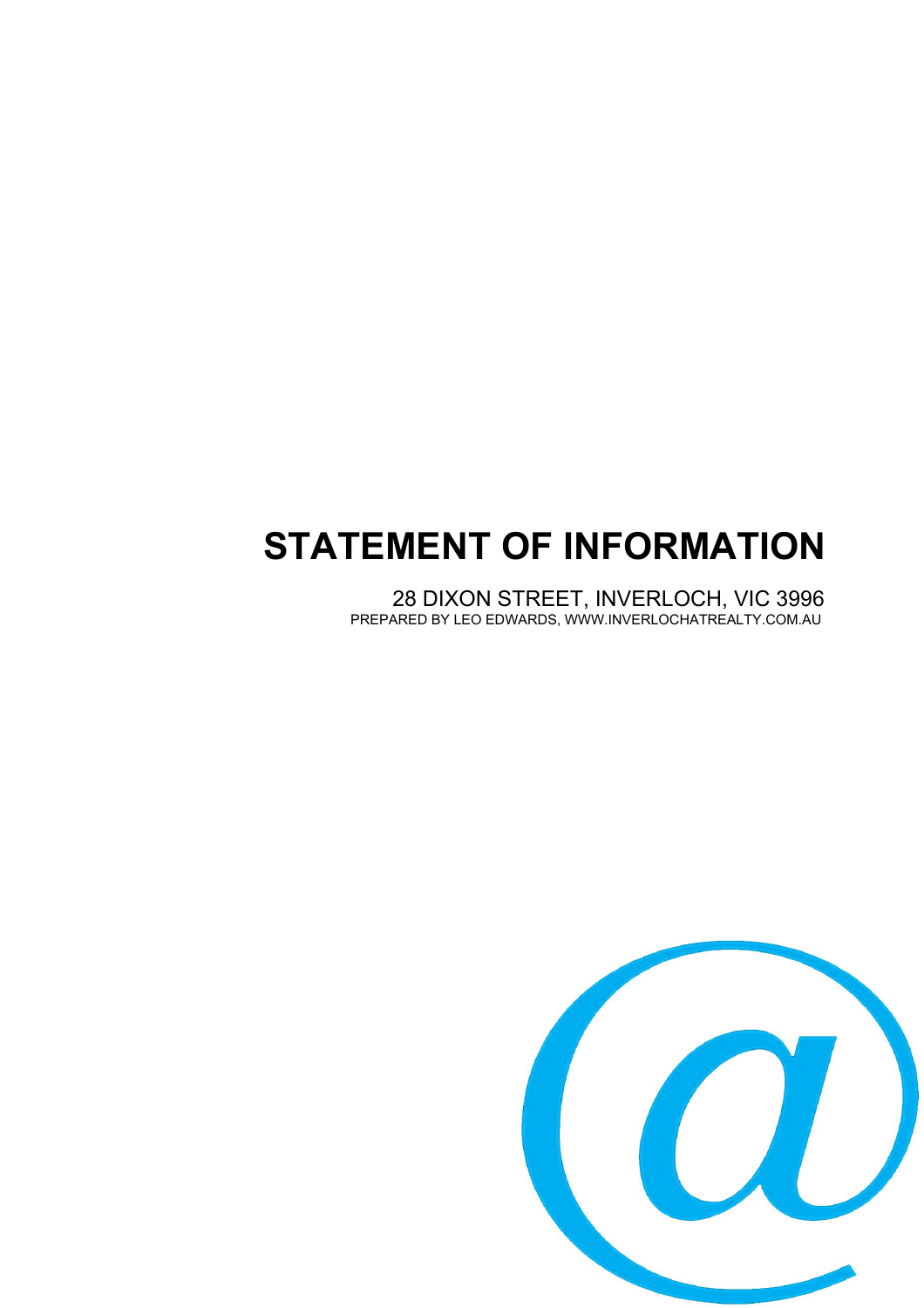# **STATEMENT OF INFORMATION**

28 DIXON STREET, INVERLOCH, VIC 3996 PREPARED BY LEO EDWARDS, WWW.INVERLOCHATREALTY.COM.AU